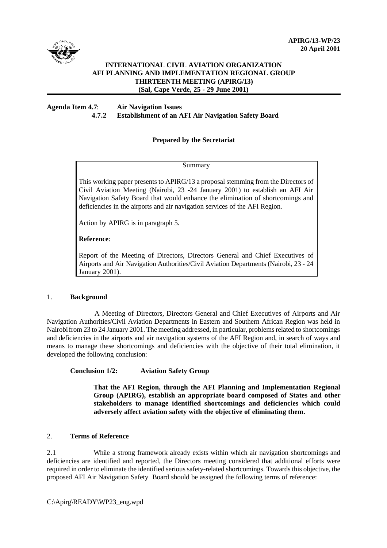

# **INTERNATIONAL CIVIL AVIATION ORGANIZATION AFI PLANNING AND IMPLEMENTATION REGIONAL GROUP THIRTEENTH MEETING (APIRG/13) (Sal, Cape Verde, 25 - 29 June 2001)**

## **Agenda Item 4.7**: **Air Navigation Issues 4.7.2 Establishment of an AFI Air Navigation Safety Board**

# **Prepared by the Secretariat**

Summary

This working paper presents to APIRG/13 a proposal stemming from the Directors of Civil Aviation Meeting (Nairobi, 23 -24 January 2001) to establish an AFI Air Navigation Safety Board that would enhance the elimination of shortcomings and deficiencies in the airports and air navigation services of the AFI Region.

Action by APIRG is in paragraph 5.

### **Reference**:

Report of the Meeting of Directors, Directors General and Chief Executives of Airports and Air Navigation Authorities/Civil Aviation Departments (Nairobi, 23 - 24 January 2001).

#### 1. **Background**

 A Meeting of Directors, Directors General and Chief Executives of Airports and Air Navigation Authorities/Civil Aviation Departments in Eastern and Southern African Region was held in Nairobi from 23 to 24 January 2001. The meeting addressed, in particular, problems related to shortcomings and deficiencies in the airports and air navigation systems of the AFI Region and, in search of ways and means to manage these shortcomings and deficiencies with the objective of their total elimination, it developed the following conclusion:

# **Conclusion 1/2: Aviation Safety Group**

**That the AFI Region, through the AFI Planning and Implementation Regional Group (APIRG), establish an appropriate board composed of States and other stakeholders to manage identified shortcomings and deficiencies which could adversely affect aviation safety with the objective of eliminating them.**

#### 2. **Terms of Reference**

2.1 While a strong framework already exists within which air navigation shortcomings and deficiencies are identified and reported, the Directors meeting considered that additional efforts were required in order to eliminate the identified serious safety-related shortcomings. Towards this objective, the proposed AFI Air Navigation Safety Board should be assigned the following terms of reference:

C:\Apirg\READY\WP23\_eng.wpd